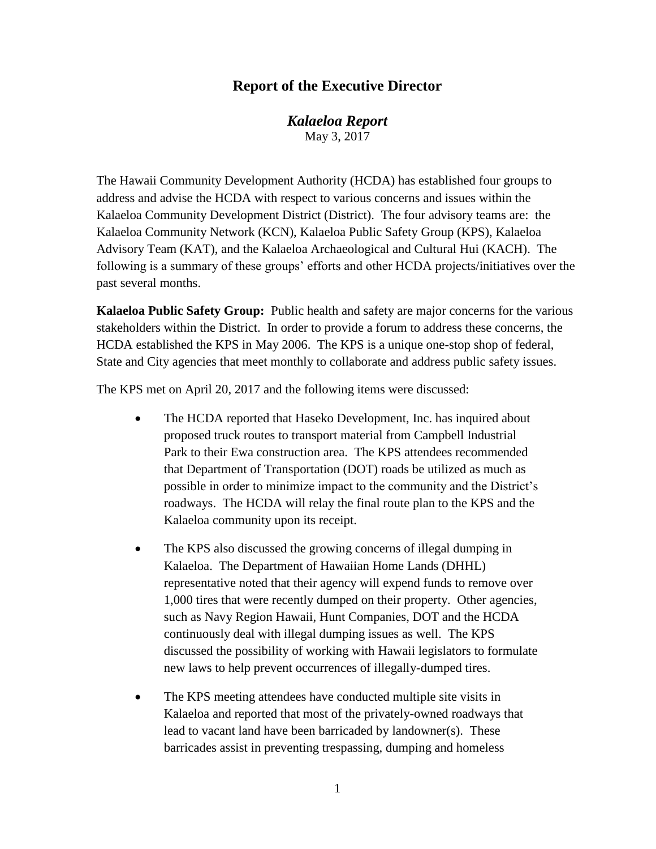## **Report of the Executive Director**

*Kalaeloa Report* May 3, 2017

The Hawaii Community Development Authority (HCDA) has established four groups to address and advise the HCDA with respect to various concerns and issues within the Kalaeloa Community Development District (District). The four advisory teams are: the Kalaeloa Community Network (KCN), Kalaeloa Public Safety Group (KPS), Kalaeloa Advisory Team (KAT), and the Kalaeloa Archaeological and Cultural Hui (KACH). The following is a summary of these groups' efforts and other HCDA projects/initiatives over the past several months.

**Kalaeloa Public Safety Group:** Public health and safety are major concerns for the various stakeholders within the District. In order to provide a forum to address these concerns, the HCDA established the KPS in May 2006. The KPS is a unique one-stop shop of federal, State and City agencies that meet monthly to collaborate and address public safety issues.

The KPS met on April 20, 2017 and the following items were discussed:

- The HCDA reported that Haseko Development, Inc. has inquired about proposed truck routes to transport material from Campbell Industrial Park to their Ewa construction area. The KPS attendees recommended that Department of Transportation (DOT) roads be utilized as much as possible in order to minimize impact to the community and the District's roadways. The HCDA will relay the final route plan to the KPS and the Kalaeloa community upon its receipt.
- The KPS also discussed the growing concerns of illegal dumping in Kalaeloa. The Department of Hawaiian Home Lands (DHHL) representative noted that their agency will expend funds to remove over 1,000 tires that were recently dumped on their property. Other agencies, such as Navy Region Hawaii, Hunt Companies, DOT and the HCDA continuously deal with illegal dumping issues as well. The KPS discussed the possibility of working with Hawaii legislators to formulate new laws to help prevent occurrences of illegally-dumped tires.
- The KPS meeting attendees have conducted multiple site visits in Kalaeloa and reported that most of the privately-owned roadways that lead to vacant land have been barricaded by landowner(s). These barricades assist in preventing trespassing, dumping and homeless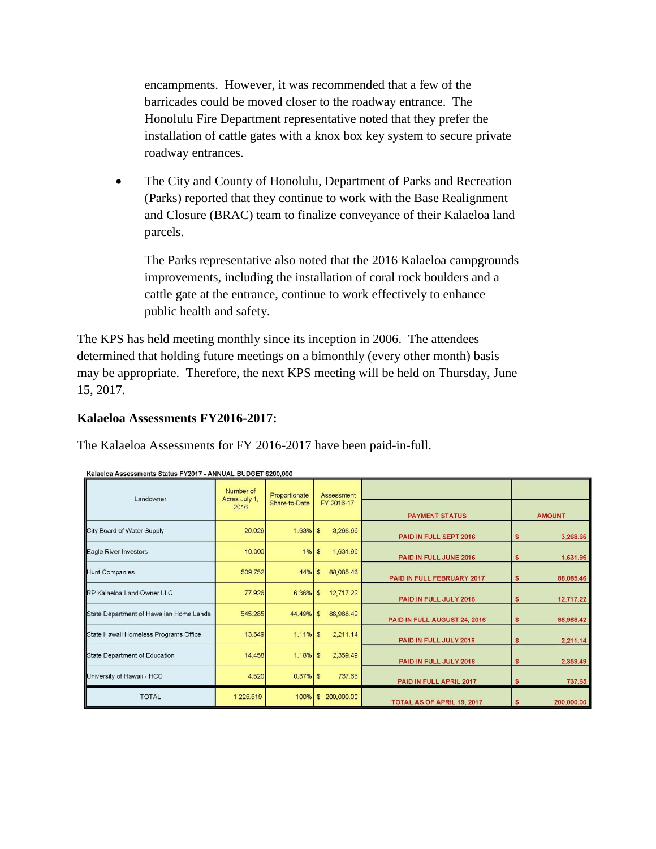encampments. However, it was recommended that a few of the barricades could be moved closer to the roadway entrance. The Honolulu Fire Department representative noted that they prefer the installation of cattle gates with a knox box key system to secure private roadway entrances.

• The City and County of Honolulu, Department of Parks and Recreation (Parks) reported that they continue to work with the Base Realignment and Closure (BRAC) team to finalize conveyance of their Kalaeloa land parcels.

The Parks representative also noted that the 2016 Kalaeloa campgrounds improvements, including the installation of coral rock boulders and a cattle gate at the entrance, continue to work effectively to enhance public health and safety.

The KPS has held meeting monthly since its inception in 2006. The attendees determined that holding future meetings on a bimonthly (every other month) basis may be appropriate. Therefore, the next KPS meeting will be held on Thursday, June 15, 2017.

## **Kalaeloa Assessments FY2016-2017:**

The Kalaeloa Assessments for FY 2016-2017 have been paid-in-full.

| Landowner                               | Number of<br>Acres July 1, | Proportionate<br>Share-to-Date | Assessment<br>FY 2016-17 |                              |                 |
|-----------------------------------------|----------------------------|--------------------------------|--------------------------|------------------------------|-----------------|
|                                         | 2016                       |                                |                          | <b>PAYMENT STATUS</b>        | <b>AMOUNT</b>   |
| City Board of Water Supply              | 20.029                     | 1.63%                          | S<br>3,268.66            | PAID IN FULL SEPT 2016       | 3,268.66<br>S   |
| Eagle River Investors                   | 10.000                     | 1%                             | 1,631.96<br>S            | PAID IN FULL JUNE 2016       | 1,631.96<br>\$  |
| <b>Hunt Companies</b>                   | 539.752                    | 44%                            | 88,085.46<br>\$          | PAID IN FULL FEBRUARY 2017   | 88,085.46<br>S  |
| RP Kalaeloa Land Owner LLC              | 77.926                     | 6.36%                          | 12,717.22<br>S           | PAID IN FULL JULY 2016       | 12,717.22<br>\$ |
| State Department of Hawaiian Home Lands | 545.285                    | 44.49%                         | 88,988.42<br>S           | PAID IN FULL AUGUST 24, 2016 | 88,988.42<br>\$ |
| State Hawaii Homeless Programs Office   | 13.549                     | 1.11%                          | 2,211.14<br>\$           | PAID IN FULL JULY 2016       | 2,211.14<br>s   |
| State Department of Education           | 14.458                     | 1.18%                          | 2,359.49<br>\$           | PAID IN FULL JULY 2016       | 2,359.49<br>\$  |
| University of Hawaii - HCC              | 4.520                      | 0.37%                          | 737.65<br><sub>S</sub>   | PAID IN FULL APRIL 2017      | 737.65<br>\$    |
| <b>TOTAL</b>                            | 1,225.519                  | 100%                           | 200,000.00<br>S          | TOTAL AS OF APRIL 19, 2017   | 200,000.00      |

Kalaeloa Assessments Status FY2017 - ANNUAL BUDGET \$200,000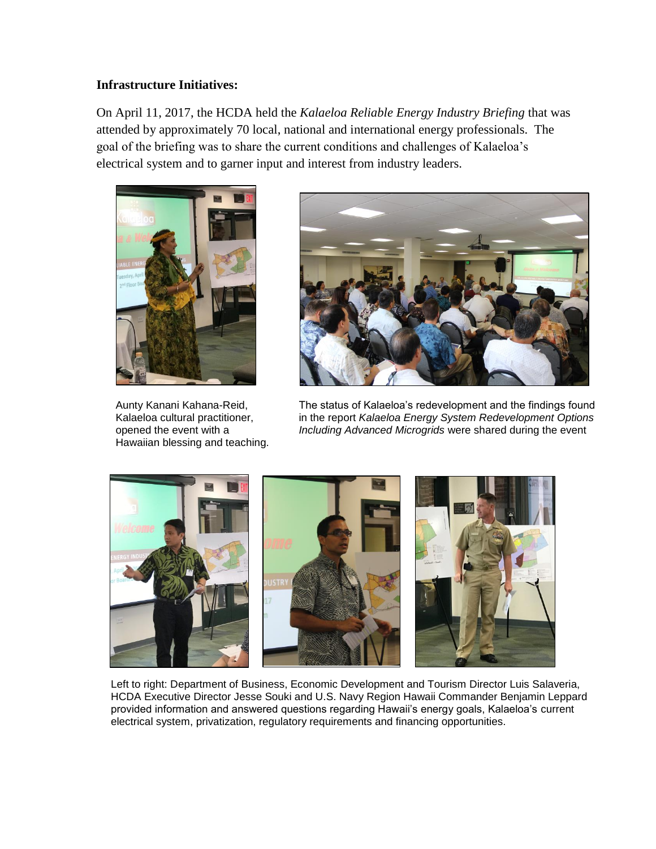## **Infrastructure Initiatives:**

On April 11, 2017, the HCDA held the *Kalaeloa Reliable Energy Industry Briefing* that was attended by approximately 70 local, national and international energy professionals. The goal of the briefing was to share the current conditions and challenges of Kalaeloa's electrical system and to garner input and interest from industry leaders.



Hawaiian blessing and teaching.



Aunty Kanani Kahana-Reid, The status of Kalaeloa's redevelopment and the findings found Kalaeloa cultural practitioner, in the report *Kalaeloa Energy System Redevelopment Options* opened the event with a *Including Advanced Microgrids* were shared during the event



Left to right: Department of Business, Economic Development and Tourism Director Luis Salaveria, HCDA Executive Director Jesse Souki and U.S. Navy Region Hawaii Commander Benjamin Leppard provided information and answered questions regarding Hawaii's energy goals, Kalaeloa's current electrical system, privatization, regulatory requirements and financing opportunities.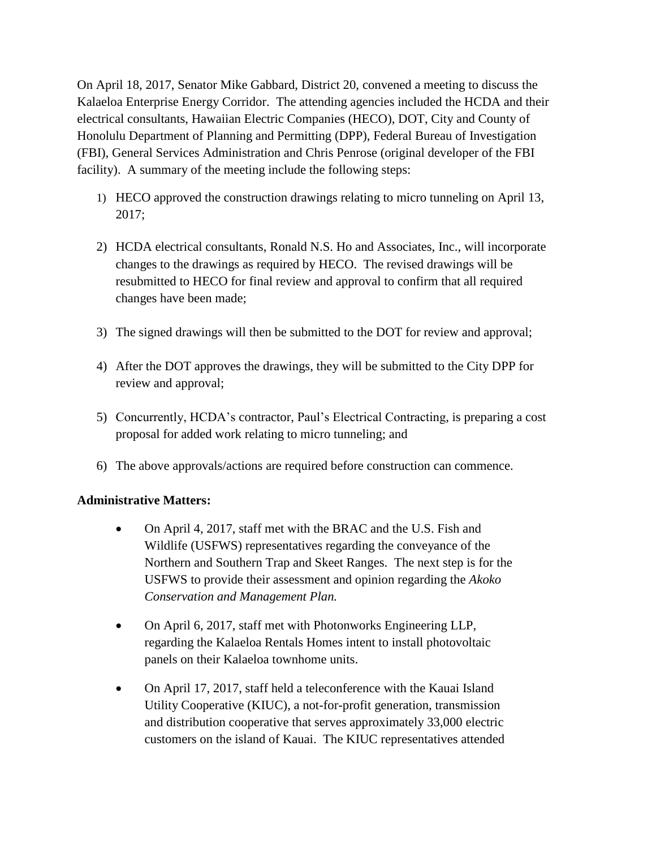On April 18, 2017, Senator Mike Gabbard, District 20, convened a meeting to discuss the Kalaeloa Enterprise Energy Corridor. The attending agencies included the HCDA and their electrical consultants, Hawaiian Electric Companies (HECO), DOT, City and County of Honolulu Department of Planning and Permitting (DPP), Federal Bureau of Investigation (FBI), General Services Administration and Chris Penrose (original developer of the FBI facility). A summary of the meeting include the following steps:

- 1) HECO approved the construction drawings relating to micro tunneling on April 13, 2017;
- 2) HCDA electrical consultants, Ronald N.S. Ho and Associates, Inc., will incorporate changes to the drawings as required by HECO. The revised drawings will be resubmitted to HECO for final review and approval to confirm that all required changes have been made;
- 3) The signed drawings will then be submitted to the DOT for review and approval;
- 4) After the DOT approves the drawings, they will be submitted to the City DPP for review and approval;
- 5) Concurrently, HCDA's contractor, Paul's Electrical Contracting, is preparing a cost proposal for added work relating to micro tunneling; and
- 6) The above approvals/actions are required before construction can commence.

## **Administrative Matters:**

- On April 4, 2017, staff met with the BRAC and the U.S. Fish and Wildlife (USFWS) representatives regarding the conveyance of the Northern and Southern Trap and Skeet Ranges. The next step is for the USFWS to provide their assessment and opinion regarding the *Akoko Conservation and Management Plan.*
- On April 6, 2017, staff met with Photonworks Engineering LLP, regarding the Kalaeloa Rentals Homes intent to install photovoltaic panels on their Kalaeloa townhome units.
- On April 17, 2017, staff held a teleconference with the Kauai Island Utility Cooperative (KIUC), a not-for-profit generation, transmission and distribution cooperative that serves approximately 33,000 electric customers on the island of Kauai. The KIUC representatives attended